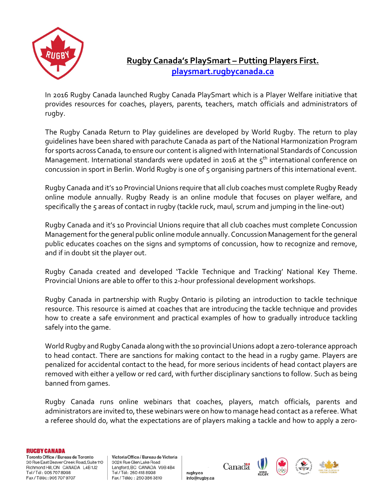

## **Rugby Canada's PlaySmart – Putting Players First. [playsmart.rugbycanada.ca](http://playsmart.rugbycanada.ca/)**

In 2016 Rugby Canada launched Rugby Canada PlaySmart which is a Player Welfare initiative that provides resources for coaches, players, parents, teachers, match officials and administrators of rugby.

The Rugby Canada Return to Play guidelines are developed by World Rugby. The return to play guidelines have been shared with parachute Canada as part of the National Harmonization Program for sports across Canada, to ensure our content is aligned with International Standards of Concussion Management. International standards were updated in 2016 at the  $5<sup>th</sup>$  international conference on concussion in sport in Berlin. World Rugby is one of 5 organising partners of this international event.

Rugby Canada and it's 10 Provincial Unions require that all club coaches must complete Rugby Ready online module annually. Rugby Ready is an online module that focuses on player welfare, and specifically the 5 areas of contact in rugby (tackle ruck, maul, scrum and jumping in the line-out)

Rugby Canada and it's 10 Provincial Unions require that all club coaches must complete Concussion Management for the general public online module annually. Concussion Management for the general public educates coaches on the signs and symptoms of concussion, how to recognize and remove, and if in doubt sit the player out.

Rugby Canada created and developed 'Tackle Technique and Tracking' National Key Theme. Provincial Unions are able to offer to this 2-hour professional development workshops.

Rugby Canada in partnership with Rugby Ontario is piloting an introduction to tackle technique resource. This resource is aimed at coaches that are introducing the tackle technique and provides how to create a safe environment and practical examples of how to gradually introduce tackling safely into the game.

World Rugby and Rugby Canada along with the 10 provincial Unions adopt a zero-tolerance approach to head contact. There are sanctions for making contact to the head in a rugby game. Players are penalized for accidental contact to the head, for more serious incidents of head contact players are removed with either a yellow or red card, with further disciplinary sanctions to follow. Such as being banned from games.

Rugby Canada runs online webinars that coaches, players, match officials, parents and administrators are invited to, these webinars were on how to manage head contact as a referee. What a referee should do, what the expectations are of players making a tackle and how to apply a zero-

**RUGBY CANADA** 

Toronto Office / Bureau de Toronto 30 Rue East Beaver Creek Road, Suite 110 Richmond Hill, ON CANADA L4B1J2 Tel / Tél: 905 707 8998 Fax / Téléc: 905 707 9707

Victoria Office / Bureau de Victoria 3024 Rue Glen Lake Road Langford, BC CANADA V9B 4B4 Tel / Tél: 250 418 8998 Fax / Téléc : 250 386 3810

Canadä rugby.ca info@rugby.ca